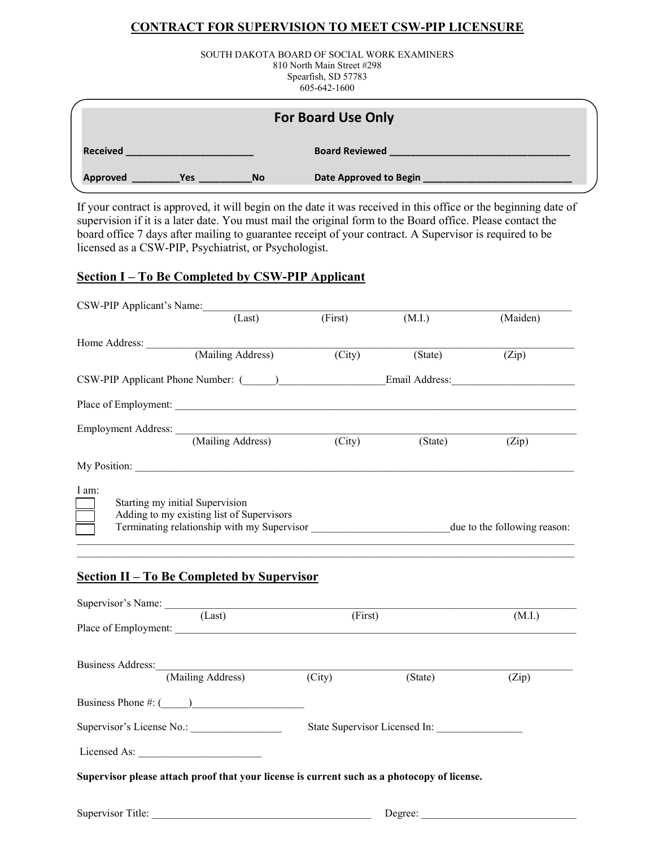## **CONTRACT FOR SUPERVISION TO MEET CSW-PIP LICENSURE**

SOUTH DAKOTA BOARD OF SOCIAL WORK EXAMINERS 810 North Main Street #298 Spearfish, SD 57783 605-642-1600

| <b>For Board Use Only</b>                  |                               |  |
|--------------------------------------------|-------------------------------|--|
| <b>Received</b>                            | <b>Board Reviewed</b>         |  |
| <b>Approved</b><br><b>No</b><br><b>Yes</b> | <b>Date Approved to Begin</b> |  |

If your contract is approved, it will begin on the date it was received in this office or the beginning date of supervision if it is a later date. You must mail the original form to the Board office. Please contact the board office 7 days after mailing to guarantee receipt of your contract. A Supervisor is required to be licensed as a CSW-PIP, Psychiatrist, or Psychologist.

## **Section I – To Be Completed by CSW-PIP Applicant**

| CSW-PIP Applicant's Name:           |                                                                                                         |                     |         |          |
|-------------------------------------|---------------------------------------------------------------------------------------------------------|---------------------|---------|----------|
|                                     | (Last)                                                                                                  | (First)             | (M.I.)  | (Maiden) |
|                                     |                                                                                                         |                     |         |          |
|                                     | Home Address: <u>(Mailing Address</u> )                                                                 | $\overline{(City)}$ | (State) | (Zip)    |
|                                     | CSW-PIP Applicant Phone Number: ( ) Email Address:                                                      |                     |         |          |
|                                     |                                                                                                         |                     |         |          |
|                                     |                                                                                                         |                     |         |          |
|                                     | Employment Address: (Mailing Address) (City)                                                            |                     | (State) | (Zip)    |
|                                     |                                                                                                         |                     |         |          |
| I am:                               |                                                                                                         |                     |         |          |
|                                     | Starting my initial Supervision                                                                         |                     |         |          |
|                                     | Adding to my existing list of Supervisors                                                               |                     |         |          |
|                                     | Terminating relationship with my Supervisor _______________________________due to the following reason: |                     |         |          |
|                                     | <b>Section II – To Be Completed by Supervisor</b>                                                       |                     |         |          |
|                                     | Supervisor's Name: (Last)                                                                               | (First)             |         | (M.I.)   |
|                                     |                                                                                                         |                     |         |          |
| Business Address: (Mailing Address) |                                                                                                         |                     |         |          |
|                                     |                                                                                                         | (City)              | (State) | (Zip)    |
|                                     |                                                                                                         |                     |         |          |
| Supervisor's License No.:           |                                                                                                         |                     |         |          |
| Licensed As:                        |                                                                                                         |                     |         |          |
|                                     | Supervisor please attach proof that your license is current such as a photocopy of license.             |                     |         |          |
|                                     |                                                                                                         |                     |         |          |
| Supervisor Title:                   |                                                                                                         |                     | Degree: |          |